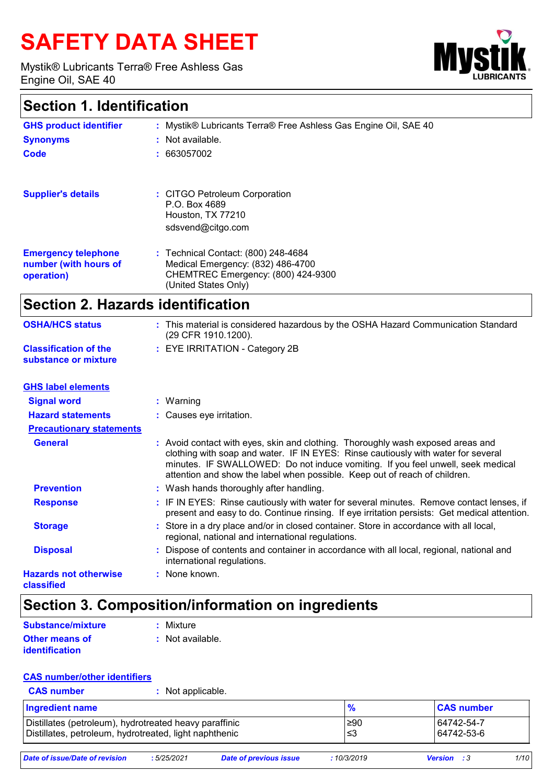# **SAFETY DATA SHEET**

Mystik® Lubricants Terra® Free Ashless Gas Engine Oil, SAE 40



## **Section 1. Identification**

| <b>GHS product identifier</b>                                     | : Mystik® Lubricants Terra® Free Ashless Gas Engine Oil, SAE 40                                                                        |
|-------------------------------------------------------------------|----------------------------------------------------------------------------------------------------------------------------------------|
| <b>Synonyms</b>                                                   | : Not available.                                                                                                                       |
| Code                                                              | : 663057002                                                                                                                            |
|                                                                   |                                                                                                                                        |
| <b>Supplier's details</b>                                         | : CITGO Petroleum Corporation<br>P.O. Box 4689<br>Houston, TX 77210<br>sdsvend@citgo.com                                               |
| <b>Emergency telephone</b><br>number (with hours of<br>operation) | : Technical Contact: (800) 248-4684<br>Medical Emergency: (832) 486-4700<br>CHEMTREC Emergency: (800) 424-9300<br>(United States Only) |

# **Section 2. Hazards identification**

| <b>OSHA/HCS status</b>                               | : This material is considered hazardous by the OSHA Hazard Communication Standard<br>(29 CFR 1910.1200). |
|------------------------------------------------------|----------------------------------------------------------------------------------------------------------|
| <b>Classification of the</b><br>substance or mixture | : EYE IRRITATION - Category 2B                                                                           |

| <b>GHS label elements</b>                  |                                                                                                                                                                                                                                                                                                                                       |
|--------------------------------------------|---------------------------------------------------------------------------------------------------------------------------------------------------------------------------------------------------------------------------------------------------------------------------------------------------------------------------------------|
| <b>Signal word</b>                         | : Warning                                                                                                                                                                                                                                                                                                                             |
| <b>Hazard statements</b>                   | : Causes eye irritation.                                                                                                                                                                                                                                                                                                              |
| <b>Precautionary statements</b>            |                                                                                                                                                                                                                                                                                                                                       |
| <b>General</b>                             | : Avoid contact with eyes, skin and clothing. Thoroughly wash exposed areas and<br>clothing with soap and water. IF IN EYES: Rinse cautiously with water for several<br>minutes. IF SWALLOWED: Do not induce vomiting. If you feel unwell, seek medical<br>attention and show the label when possible. Keep out of reach of children. |
| <b>Prevention</b>                          | : Wash hands thoroughly after handling.                                                                                                                                                                                                                                                                                               |
| <b>Response</b>                            | : IF IN EYES: Rinse cautiously with water for several minutes. Remove contact lenses, if<br>present and easy to do. Continue rinsing. If eye irritation persists: Get medical attention.                                                                                                                                              |
| <b>Storage</b>                             | : Store in a dry place and/or in closed container. Store in accordance with all local,<br>regional, national and international regulations.                                                                                                                                                                                           |
| <b>Disposal</b>                            | : Dispose of contents and container in accordance with all local, regional, national and<br>international regulations.                                                                                                                                                                                                                |
| <b>Hazards not otherwise</b><br>classified | : None known.                                                                                                                                                                                                                                                                                                                         |

### **Section 3. Composition/information on ingredients**

| <b>Substance/mixture</b> | : Mixture        |
|--------------------------|------------------|
| <b>Other means of</b>    | : Not available. |
| identification           |                  |

#### **CAS number/other identifiers**

**:** Not applicable.

| Ingredient name                                        | $\frac{9}{6}$ | <b>CAS number</b> |
|--------------------------------------------------------|---------------|-------------------|
| Distillates (petroleum), hydrotreated heavy paraffinic | l≥90          | 64742-54-7        |
| Distillates, petroleum, hydrotreated, light naphthenic | .≤3           | 64742-53-6        |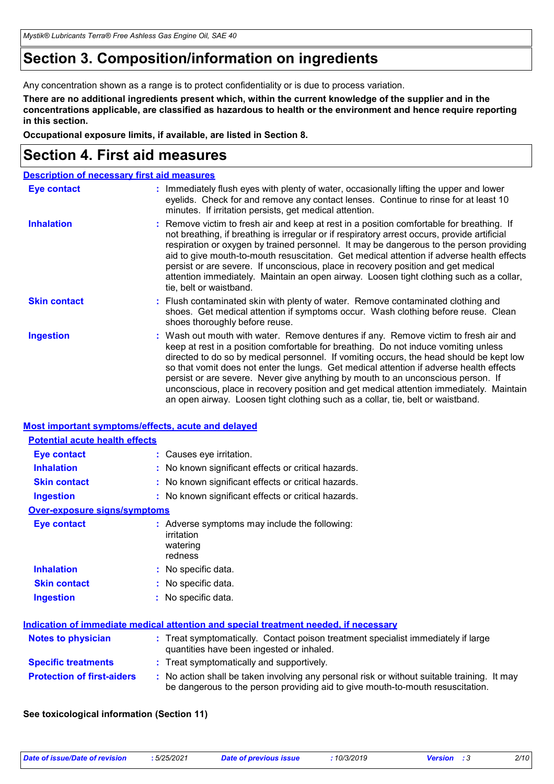*Mystik® Lubricants Terra® Free Ashless Gas Engine Oil, SAE 40*

## **Section 3. Composition/information on ingredients**

Any concentration shown as a range is to protect confidentiality or is due to process variation.

**There are no additional ingredients present which, within the current knowledge of the supplier and in the concentrations applicable, are classified as hazardous to health or the environment and hence require reporting in this section.**

**Occupational exposure limits, if available, are listed in Section 8.**

## **Section 4. First aid measures**

|                     | <b>Description of necessary first aid measures</b>                                                                                                                                                                                                                                                                                                                                                                                                                                                                                                                                                                                 |
|---------------------|------------------------------------------------------------------------------------------------------------------------------------------------------------------------------------------------------------------------------------------------------------------------------------------------------------------------------------------------------------------------------------------------------------------------------------------------------------------------------------------------------------------------------------------------------------------------------------------------------------------------------------|
| Eye contact         | : Immediately flush eyes with plenty of water, occasionally lifting the upper and lower<br>eyelids. Check for and remove any contact lenses. Continue to rinse for at least 10<br>minutes. If irritation persists, get medical attention.                                                                                                                                                                                                                                                                                                                                                                                          |
| <b>Inhalation</b>   | : Remove victim to fresh air and keep at rest in a position comfortable for breathing. If<br>not breathing, if breathing is irregular or if respiratory arrest occurs, provide artificial<br>respiration or oxygen by trained personnel. It may be dangerous to the person providing<br>aid to give mouth-to-mouth resuscitation. Get medical attention if adverse health effects<br>persist or are severe. If unconscious, place in recovery position and get medical<br>attention immediately. Maintain an open airway. Loosen tight clothing such as a collar,<br>tie, belt or waistband.                                       |
| <b>Skin contact</b> | : Flush contaminated skin with plenty of water. Remove contaminated clothing and<br>shoes. Get medical attention if symptoms occur. Wash clothing before reuse. Clean<br>shoes thoroughly before reuse.                                                                                                                                                                                                                                                                                                                                                                                                                            |
| <b>Ingestion</b>    | : Wash out mouth with water. Remove dentures if any. Remove victim to fresh air and<br>keep at rest in a position comfortable for breathing. Do not induce vomiting unless<br>directed to do so by medical personnel. If vomiting occurs, the head should be kept low<br>so that vomit does not enter the lungs. Get medical attention if adverse health effects<br>persist or are severe. Never give anything by mouth to an unconscious person. If<br>unconscious, place in recovery position and get medical attention immediately. Maintain<br>an open airway. Loosen tight clothing such as a collar, tie, belt or waistband. |

#### **Most important symptoms/effects, acute and delayed**

| <b>Potential acute health effects</b> |                                                                                                                                                                               |
|---------------------------------------|-------------------------------------------------------------------------------------------------------------------------------------------------------------------------------|
| <b>Eye contact</b>                    | : Causes eye irritation.                                                                                                                                                      |
| <b>Inhalation</b>                     | : No known significant effects or critical hazards.                                                                                                                           |
| <b>Skin contact</b>                   | : No known significant effects or critical hazards.                                                                                                                           |
| <b>Ingestion</b>                      | : No known significant effects or critical hazards.                                                                                                                           |
| <b>Over-exposure signs/symptoms</b>   |                                                                                                                                                                               |
| <b>Eye contact</b>                    | : Adverse symptoms may include the following:<br>irritation<br>watering<br>redness                                                                                            |
| <b>Inhalation</b>                     | : No specific data.                                                                                                                                                           |
| <b>Skin contact</b>                   | : No specific data.                                                                                                                                                           |
| <b>Ingestion</b>                      | : No specific data.                                                                                                                                                           |
|                                       | <u>Indication of immediate medical attention and special treatment needed, if necessary</u>                                                                                   |
| <b>Notes to physician</b>             | : Treat symptomatically. Contact poison treatment specialist immediately if large<br>quantities have been ingested or inhaled.                                                |
| <b>Specific treatments</b>            | : Treat symptomatically and supportively.                                                                                                                                     |
| <b>Protection of first-aiders</b>     | : No action shall be taken involving any personal risk or without suitable training. It may<br>be dangerous to the person providing aid to give mouth-to-mouth resuscitation. |

#### **See toxicological information (Section 11)**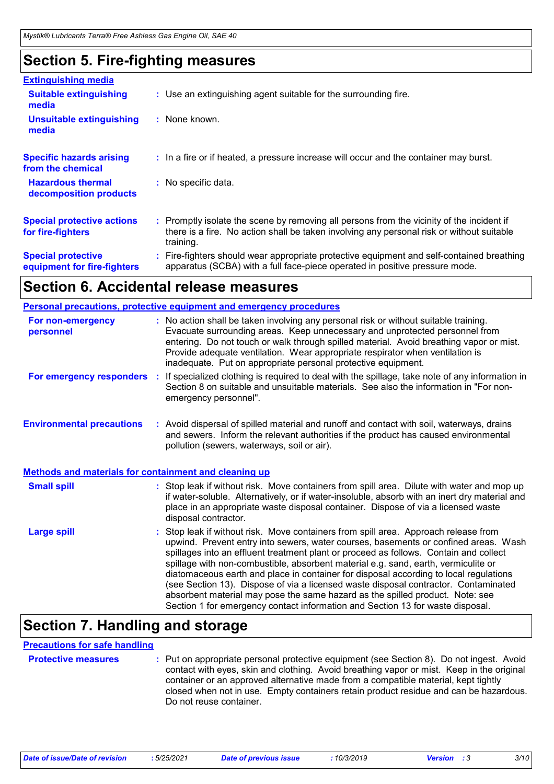### **Section 5. Fire-fighting measures**

| <b>Extinguishing media</b>                               |                                                                                                                                                                                                     |  |
|----------------------------------------------------------|-----------------------------------------------------------------------------------------------------------------------------------------------------------------------------------------------------|--|
| <b>Suitable extinguishing</b><br>media                   | : Use an extinguishing agent suitable for the surrounding fire.                                                                                                                                     |  |
| <b>Unsuitable extinguishing</b><br>media                 | : None known.                                                                                                                                                                                       |  |
| <b>Specific hazards arising</b><br>from the chemical     | : In a fire or if heated, a pressure increase will occur and the container may burst.                                                                                                               |  |
| <b>Hazardous thermal</b><br>decomposition products       | : No specific data.                                                                                                                                                                                 |  |
| <b>Special protective actions</b><br>for fire-fighters   | : Promptly isolate the scene by removing all persons from the vicinity of the incident if<br>there is a fire. No action shall be taken involving any personal risk or without suitable<br>training. |  |
| <b>Special protective</b><br>equipment for fire-fighters | : Fire-fighters should wear appropriate protective equipment and self-contained breathing<br>apparatus (SCBA) with a full face-piece operated in positive pressure mode.                            |  |

### **Section 6. Accidental release measures**

|                                                              | <b>Personal precautions, protective equipment and emergency procedures</b>                                                                                                                                                                                                                                                                                                                                                                                                                                                                                                                                                                                                                                 |
|--------------------------------------------------------------|------------------------------------------------------------------------------------------------------------------------------------------------------------------------------------------------------------------------------------------------------------------------------------------------------------------------------------------------------------------------------------------------------------------------------------------------------------------------------------------------------------------------------------------------------------------------------------------------------------------------------------------------------------------------------------------------------------|
| For non-emergency<br>personnel                               | : No action shall be taken involving any personal risk or without suitable training.<br>Evacuate surrounding areas. Keep unnecessary and unprotected personnel from<br>entering. Do not touch or walk through spilled material. Avoid breathing vapor or mist.<br>Provide adequate ventilation. Wear appropriate respirator when ventilation is<br>inadequate. Put on appropriate personal protective equipment.                                                                                                                                                                                                                                                                                           |
| For emergency responders :                                   | If specialized clothing is required to deal with the spillage, take note of any information in<br>Section 8 on suitable and unsuitable materials. See also the information in "For non-<br>emergency personnel".                                                                                                                                                                                                                                                                                                                                                                                                                                                                                           |
| <b>Environmental precautions</b>                             | : Avoid dispersal of spilled material and runoff and contact with soil, waterways, drains<br>and sewers. Inform the relevant authorities if the product has caused environmental<br>pollution (sewers, waterways, soil or air).                                                                                                                                                                                                                                                                                                                                                                                                                                                                            |
| <b>Methods and materials for containment and cleaning up</b> |                                                                                                                                                                                                                                                                                                                                                                                                                                                                                                                                                                                                                                                                                                            |
| <b>Small spill</b>                                           | : Stop leak if without risk. Move containers from spill area. Dilute with water and mop up<br>if water-soluble. Alternatively, or if water-insoluble, absorb with an inert dry material and<br>place in an appropriate waste disposal container. Dispose of via a licensed waste<br>disposal contractor.                                                                                                                                                                                                                                                                                                                                                                                                   |
| <b>Large spill</b>                                           | Stop leak if without risk. Move containers from spill area. Approach release from<br>upwind. Prevent entry into sewers, water courses, basements or confined areas. Wash<br>spillages into an effluent treatment plant or proceed as follows. Contain and collect<br>spillage with non-combustible, absorbent material e.g. sand, earth, vermiculite or<br>diatomaceous earth and place in container for disposal according to local regulations<br>(see Section 13). Dispose of via a licensed waste disposal contractor. Contaminated<br>absorbent material may pose the same hazard as the spilled product. Note: see<br>Section 1 for emergency contact information and Section 13 for waste disposal. |

# **Section 7. Handling and storage**

#### **Precautions for safe handling**

**Protective measures** : Put on appropriate personal protective equipment (see Section 8). Do not ingest. Avoid intercontact with eyes, skin and clothing. Avoid breathing vapor or mist. Keep in the original container or an approved alternative made from a compatible material, kept tightly closed when not in use. Empty containers retain product residue and can be hazardous. Do not reuse container.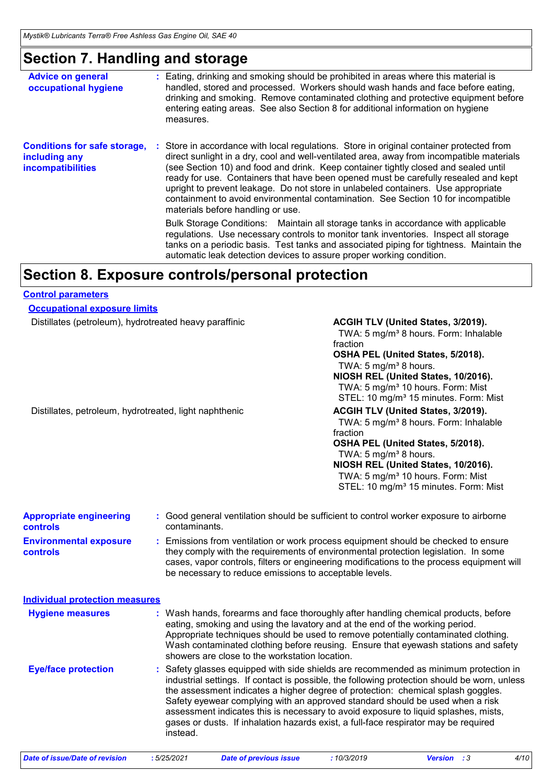## **Section 7. Handling and storage**

| <b>Advice on general</b><br>occupational hygiene                                 | Eating, drinking and smoking should be prohibited in areas where this material is<br>handled, stored and processed. Workers should wash hands and face before eating,<br>drinking and smoking. Remove contaminated clothing and protective equipment before<br>entering eating areas. See also Section 8 for additional information on hygiene<br>measures.                                                                                                                                                                                                                      |
|----------------------------------------------------------------------------------|----------------------------------------------------------------------------------------------------------------------------------------------------------------------------------------------------------------------------------------------------------------------------------------------------------------------------------------------------------------------------------------------------------------------------------------------------------------------------------------------------------------------------------------------------------------------------------|
| <b>Conditions for safe storage,</b><br>including any<br><b>incompatibilities</b> | Store in accordance with local regulations. Store in original container protected from<br>direct sunlight in a dry, cool and well-ventilated area, away from incompatible materials<br>(see Section 10) and food and drink. Keep container tightly closed and sealed until<br>ready for use. Containers that have been opened must be carefully resealed and kept<br>upright to prevent leakage. Do not store in unlabeled containers. Use appropriate<br>containment to avoid environmental contamination. See Section 10 for incompatible<br>materials before handling or use. |
|                                                                                  | Bulk Storage Conditions: Maintain all storage tanks in accordance with applicable<br>regulations. Use necessary controls to monitor tank inventories. Inspect all storage<br>tanks on a periodic basis. Test tanks and associated piping for tightness. Maintain the<br>automatic leak detection devices to assure proper working condition.                                                                                                                                                                                                                                     |

### **Section 8. Exposure controls/personal protection**

#### **Control parameters**

| <b>Occupational exposure limits</b>                    |               |                                                                                                                                                                                                                                                                                                                                                                                                                                                                                                                                         |  |  |
|--------------------------------------------------------|---------------|-----------------------------------------------------------------------------------------------------------------------------------------------------------------------------------------------------------------------------------------------------------------------------------------------------------------------------------------------------------------------------------------------------------------------------------------------------------------------------------------------------------------------------------------|--|--|
| Distillates (petroleum), hydrotreated heavy paraffinic |               | ACGIH TLV (United States, 3/2019).<br>TWA: 5 mg/m <sup>3</sup> 8 hours. Form: Inhalable<br>fraction<br>OSHA PEL (United States, 5/2018).<br>TWA: 5 mg/m <sup>3</sup> 8 hours.<br>NIOSH REL (United States, 10/2016).<br>TWA: 5 mg/m <sup>3</sup> 10 hours. Form: Mist<br>STEL: 10 mg/m <sup>3</sup> 15 minutes. Form: Mist                                                                                                                                                                                                              |  |  |
| Distillates, petroleum, hydrotreated, light naphthenic |               | ACGIH TLV (United States, 3/2019).<br>TWA: 5 mg/m <sup>3</sup> 8 hours. Form: Inhalable<br>fraction<br>OSHA PEL (United States, 5/2018).<br>TWA: 5 mg/m <sup>3</sup> 8 hours.<br>NIOSH REL (United States, 10/2016).<br>TWA: 5 mg/m <sup>3</sup> 10 hours. Form: Mist<br>STEL: 10 mg/m <sup>3</sup> 15 minutes. Form: Mist                                                                                                                                                                                                              |  |  |
| <b>Appropriate engineering</b><br><b>controls</b>      | contaminants. | : Good general ventilation should be sufficient to control worker exposure to airborne                                                                                                                                                                                                                                                                                                                                                                                                                                                  |  |  |
| <b>Environmental exposure</b><br><b>controls</b>       |               | : Emissions from ventilation or work process equipment should be checked to ensure<br>they comply with the requirements of environmental protection legislation. In some<br>cases, vapor controls, filters or engineering modifications to the process equipment will<br>be necessary to reduce emissions to acceptable levels.                                                                                                                                                                                                         |  |  |
| <b>Individual protection measures</b>                  |               |                                                                                                                                                                                                                                                                                                                                                                                                                                                                                                                                         |  |  |
| <b>Hygiene measures</b>                                |               | : Wash hands, forearms and face thoroughly after handling chemical products, before<br>eating, smoking and using the lavatory and at the end of the working period.<br>Appropriate techniques should be used to remove potentially contaminated clothing.<br>Wash contaminated clothing before reusing. Ensure that eyewash stations and safety<br>showers are close to the workstation location.                                                                                                                                       |  |  |
| <b>Eye/face protection</b>                             | instead.      | : Safety glasses equipped with side shields are recommended as minimum protection in<br>industrial settings. If contact is possible, the following protection should be worn, unless<br>the assessment indicates a higher degree of protection: chemical splash goggles.<br>Safety eyewear complying with an approved standard should be used when a risk<br>assessment indicates this is necessary to avoid exposure to liquid splashes, mists,<br>gases or dusts. If inhalation hazards exist, a full-face respirator may be required |  |  |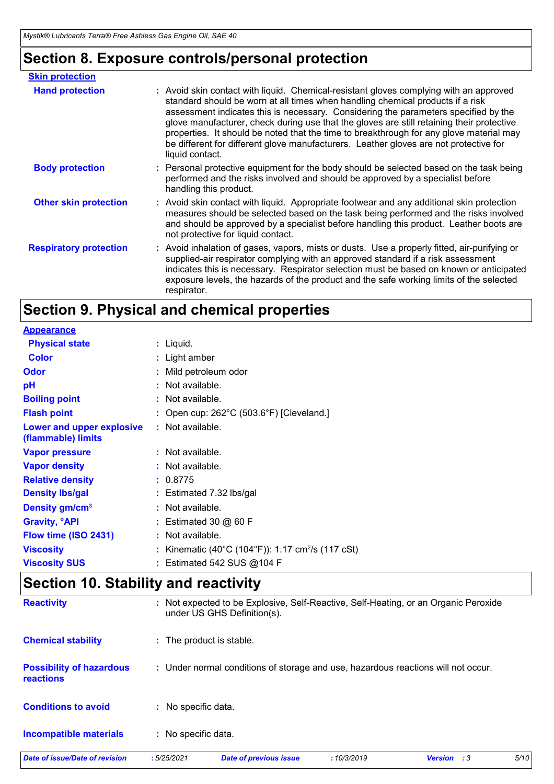# **Section 8. Exposure controls/personal protection**

| <b>Skin protection</b>        |                                                                                                                                                                                                                                                                                                                                                                                                                                                                                                                                                                     |
|-------------------------------|---------------------------------------------------------------------------------------------------------------------------------------------------------------------------------------------------------------------------------------------------------------------------------------------------------------------------------------------------------------------------------------------------------------------------------------------------------------------------------------------------------------------------------------------------------------------|
| <b>Hand protection</b>        | : Avoid skin contact with liquid. Chemical-resistant gloves complying with an approved<br>standard should be worn at all times when handling chemical products if a risk<br>assessment indicates this is necessary. Considering the parameters specified by the<br>glove manufacturer, check during use that the gloves are still retaining their protective<br>properties. It should be noted that the time to breakthrough for any glove material may<br>be different for different glove manufacturers. Leather gloves are not protective for<br>liquid contact. |
| <b>Body protection</b>        | : Personal protective equipment for the body should be selected based on the task being<br>performed and the risks involved and should be approved by a specialist before<br>handling this product.                                                                                                                                                                                                                                                                                                                                                                 |
| <b>Other skin protection</b>  | : Avoid skin contact with liquid. Appropriate footwear and any additional skin protection<br>measures should be selected based on the task being performed and the risks involved<br>and should be approved by a specialist before handling this product. Leather boots are<br>not protective for liquid contact.                                                                                                                                                                                                                                                   |
| <b>Respiratory protection</b> | : Avoid inhalation of gases, vapors, mists or dusts. Use a properly fitted, air-purifying or<br>supplied-air respirator complying with an approved standard if a risk assessment<br>indicates this is necessary. Respirator selection must be based on known or anticipated<br>exposure levels, the hazards of the product and the safe working limits of the selected<br>respirator.                                                                                                                                                                               |

# **Section 9. Physical and chemical properties**

| <b>Appearance</b>                               |                                                               |
|-------------------------------------------------|---------------------------------------------------------------|
| <b>Physical state</b>                           | $:$ Liquid.                                                   |
| <b>Color</b>                                    | : Light amber                                                 |
| <b>Odor</b>                                     | : Mild petroleum odor                                         |
| pH                                              | : Not available.                                              |
| <b>Boiling point</b>                            | : Not available.                                              |
| <b>Flash point</b>                              | : Open cup: $262^{\circ}$ C (503.6°F) [Cleveland.]            |
| Lower and upper explosive<br>(flammable) limits | : Not available.                                              |
| <b>Vapor pressure</b>                           | : Not available.                                              |
| <b>Vapor density</b>                            | : Not available.                                              |
| <b>Relative density</b>                         | : 0.8775                                                      |
| <b>Density Ibs/gal</b>                          | : Estimated 7.32 lbs/gal                                      |
| Density gm/cm <sup>3</sup>                      | $:$ Not available.                                            |
| <b>Gravity, <sup>o</sup>API</b>                 | $:$ Estimated 30 $@$ 60 F                                     |
| Flow time (ISO 2431)                            | : Not available.                                              |
|                                                 |                                                               |
| <b>Viscosity</b>                                | : Kinematic (40°C (104°F)): 1.17 cm <sup>2</sup> /s (117 cSt) |

# **Section 10. Stability and reactivity**

| <b>Reactivity</b>                                   |                          | under US GHS Definition(s).   |            | : Not expected to be Explosive, Self-Reactive, Self-Heating, or an Organic Peroxide |      |
|-----------------------------------------------------|--------------------------|-------------------------------|------------|-------------------------------------------------------------------------------------|------|
| <b>Chemical stability</b>                           | : The product is stable. |                               |            |                                                                                     |      |
| <b>Possibility of hazardous</b><br><b>reactions</b> |                          |                               |            | : Under normal conditions of storage and use, hazardous reactions will not occur.   |      |
| <b>Conditions to avoid</b>                          | : No specific data.      |                               |            |                                                                                     |      |
| <b>Incompatible materials</b>                       | : No specific data.      |                               |            |                                                                                     |      |
| Date of issue/Date of revision                      | :5/25/2021               | <b>Date of previous issue</b> | :10/3/2019 | <b>Version</b> : 3                                                                  | 5/10 |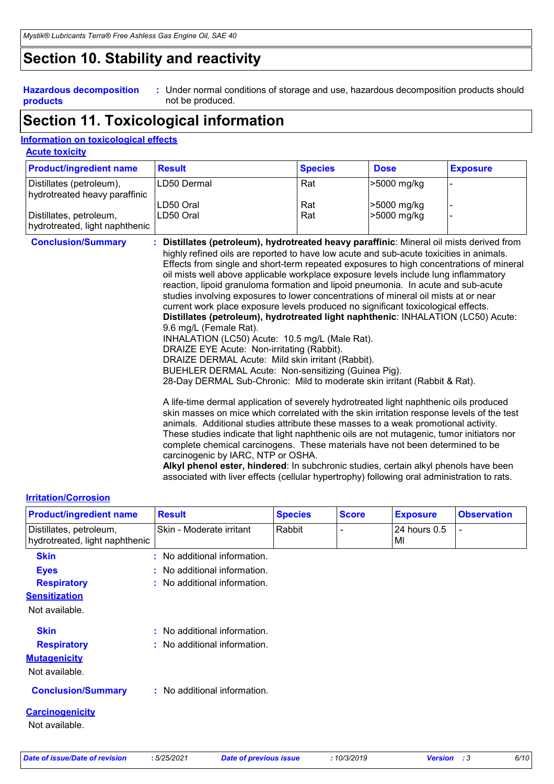### **Section 10. Stability and reactivity**

#### **Hazardous decomposition products**

Under normal conditions of storage and use, hazardous decomposition products should **:** not be produced.

### **Section 11. Toxicological information**

#### **Information on toxicological effects**

| <b>Acute toxicity</b> |
|-----------------------|
|-----------------------|

| <b>Product/ingredient name</b>                            | <b>Result</b> | <b>Species</b> | <b>Dose</b>  | <b>Exposure</b> |
|-----------------------------------------------------------|---------------|----------------|--------------|-----------------|
| Distillates (petroleum),<br>hydrotreated heavy paraffinic | LD50 Dermal   | Rat            | >5000 mg/kg  |                 |
|                                                           | LD50 Oral     | Rat            | l>5000 mg/kg |                 |
| Distillates, petroleum,<br>hydrotreated, light naphthenic | LD50 Oral     | Rat            | >5000 mg/kg  |                 |

- **Conclusion/Summary : Distillates (petroleum), hydrotreated heavy paraffinic**: Mineral oil mists derived from highly refined oils are reported to have low acute and sub-acute toxicities in animals. Effects from single and short-term repeated exposures to high concentrations of mineral oil mists well above applicable workplace exposure levels include lung inflammatory reaction, lipoid granuloma formation and lipoid pneumonia. In acute and sub-acute studies involving exposures to lower concentrations of mineral oil mists at or near current work place exposure levels produced no significant toxicological effects. **Distillates (petroleum), hydrotreated light naphthenic**: INHALATION (LC50) Acute: 9.6 mg/L (Female Rat). INHALATION (LC50) Acute: 10.5 mg/L (Male Rat). DRAIZE EYE Acute: Non-irritating (Rabbit). DRAIZE DERMAL Acute: Mild skin irritant (Rabbit).
	- BUEHLER DERMAL Acute: Non-sensitizing (Guinea Pig).

28-Day DERMAL Sub-Chronic: Mild to moderate skin irritant (Rabbit & Rat).

 A life-time dermal application of severely hydrotreated light naphthenic oils produced skin masses on mice which correlated with the skin irritation response levels of the test animals. Additional studies attribute these masses to a weak promotional activity. These studies indicate that light naphthenic oils are not mutagenic, tumor initiators nor complete chemical carcinogens. These materials have not been determined to be carcinogenic by IARC, NTP or OSHA.

**Alkyl phenol ester, hindered**: In subchronic studies, certain alkyl phenols have been associated with liver effects (cellular hypertrophy) following oral administration to rats.

#### **Irritation/Corrosion**

| <b>Product/ingredient name</b>                            | <b>Result</b>                | <b>Species</b> | <b>Score</b> | <b>Exposure</b>    | <b>Observation</b>       |
|-----------------------------------------------------------|------------------------------|----------------|--------------|--------------------|--------------------------|
| Distillates, petroleum,<br>hydrotreated, light naphthenic | Skin - Moderate irritant     | Rabbit         |              | 24 hours 0.5<br>MI | $\overline{\phantom{a}}$ |
| <b>Skin</b>                                               | No additional information.   |                |              |                    |                          |
| <b>Eyes</b>                                               | No additional information.   |                |              |                    |                          |
| <b>Respiratory</b>                                        | No additional information.   |                |              |                    |                          |
| <b>Sensitization</b>                                      |                              |                |              |                    |                          |
| Not available.                                            |                              |                |              |                    |                          |
| <b>Skin</b>                                               | : No additional information. |                |              |                    |                          |
| <b>Respiratory</b>                                        | No additional information.   |                |              |                    |                          |
| <b>Mutagenicity</b>                                       |                              |                |              |                    |                          |
| Not available.                                            |                              |                |              |                    |                          |
| <b>Conclusion/Summary</b>                                 | : No additional information. |                |              |                    |                          |
| <b>Carcinogenicity</b>                                    |                              |                |              |                    |                          |
| Not available.                                            |                              |                |              |                    |                          |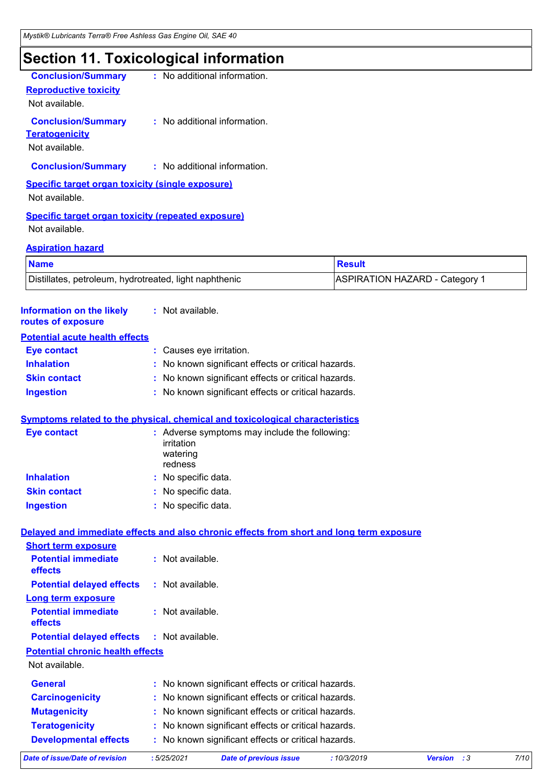# **Section 11. Toxicological information**

| <b>Conclusion/Summary</b>                               | : No additional information. |
|---------------------------------------------------------|------------------------------|
| <b>Reproductive toxicity</b>                            |                              |
| Not available.                                          |                              |
| <b>Conclusion/Summary</b>                               | : No additional information. |
| <b>Teratogenicity</b>                                   |                              |
| Not available.                                          |                              |
| <b>Conclusion/Summary</b>                               | : No additional information. |
| <b>Specific target organ toxicity (single exposure)</b> |                              |
| Not available.                                          |                              |
| Specific target organ toxicity (repeated exposure)      |                              |

Not available.

#### **Aspiration hazard**

| <b>Name</b>                                            | <b>Result</b>                         |  |
|--------------------------------------------------------|---------------------------------------|--|
| Distillates, petroleum, hydrotreated, light naphthenic | <b>ASPIRATION HAZARD - Category 1</b> |  |

| <b>Date of issue/Date of revision</b>                                                                                  | : 5/25/2021                                | <b>Date of previous issue</b>                       | :10/3/2019 | <b>Version</b><br>:3 | 7/10 |
|------------------------------------------------------------------------------------------------------------------------|--------------------------------------------|-----------------------------------------------------|------------|----------------------|------|
| <b>Developmental effects</b>                                                                                           |                                            | : No known significant effects or critical hazards. |            |                      |      |
| <b>Teratogenicity</b>                                                                                                  |                                            | : No known significant effects or critical hazards. |            |                      |      |
| <b>Mutagenicity</b>                                                                                                    |                                            | : No known significant effects or critical hazards. |            |                      |      |
| <b>Carcinogenicity</b>                                                                                                 |                                            | : No known significant effects or critical hazards. |            |                      |      |
| <b>General</b>                                                                                                         |                                            | : No known significant effects or critical hazards. |            |                      |      |
| Not available.                                                                                                         |                                            |                                                     |            |                      |      |
| <b>Potential chronic health effects</b>                                                                                |                                            |                                                     |            |                      |      |
| <b>Potential delayed effects</b>                                                                                       | : Not available.                           |                                                     |            |                      |      |
| <b>Long term exposure</b><br><b>Potential immediate</b><br>effects                                                     | : Not available.                           |                                                     |            |                      |      |
| <b>Potential delayed effects</b>                                                                                       | : Not available.                           |                                                     |            |                      |      |
| <b>Potential immediate</b><br>effects                                                                                  | : Not available.                           |                                                     |            |                      |      |
| Delayed and immediate effects and also chronic effects from short and long term exposure<br><b>Short term exposure</b> |                                            |                                                     |            |                      |      |
|                                                                                                                        |                                            |                                                     |            |                      |      |
| <b>Ingestion</b>                                                                                                       | : No specific data.                        |                                                     |            |                      |      |
| <b>Inhalation</b><br><b>Skin contact</b>                                                                               | : No specific data.<br>: No specific data. |                                                     |            |                      |      |
|                                                                                                                        | irritation<br>watering<br>redness          |                                                     |            |                      |      |
| Symptoms related to the physical, chemical and toxicological characteristics<br><b>Eye contact</b>                     |                                            | : Adverse symptoms may include the following:       |            |                      |      |
| <b>Ingestion</b>                                                                                                       |                                            | : No known significant effects or critical hazards. |            |                      |      |
| <b>Skin contact</b>                                                                                                    |                                            | : No known significant effects or critical hazards. |            |                      |      |
| <b>Inhalation</b>                                                                                                      |                                            | : No known significant effects or critical hazards. |            |                      |      |
| <b>Eye contact</b>                                                                                                     | : Causes eye irritation.                   |                                                     |            |                      |      |
| <b>Potential acute health effects</b>                                                                                  |                                            |                                                     |            |                      |      |
| <b>Information on the likely</b><br>routes of exposure                                                                 | : Not available.                           |                                                     |            |                      |      |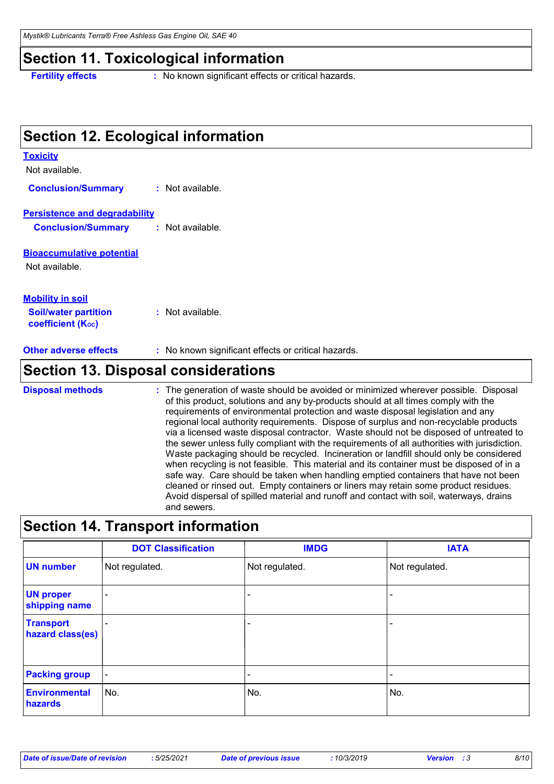#### **Section 11. Toxicological information**

**Toxicity**

**Fertility effects** : No known significant effects or critical hazards.

### **Section 12. Ecological information**

#### **Bioaccumulative potential** Not available. Not available. **Persistence and degradability Soil/water partition coefficient (Koc) :** Not available. **Mobility in soil Conclusion/Summary :** Not available. **Conclusion/Summary :** Not available.

**Other adverse effects** : No known significant effects or critical hazards.

#### **Section 13. Disposal considerations**

The generation of waste should be avoided or minimized wherever possible. Disposal of this product, solutions and any by-products should at all times comply with the requirements of environmental protection and waste disposal legislation and any regional local authority requirements. Dispose of surplus and non-recyclable products via a licensed waste disposal contractor. Waste should not be disposed of untreated to the sewer unless fully compliant with the requirements of all authorities with jurisdiction. Waste packaging should be recycled. Incineration or landfill should only be considered when recycling is not feasible. This material and its container must be disposed of in a safe way. Care should be taken when handling emptied containers that have not been cleaned or rinsed out. Empty containers or liners may retain some product residues. Avoid dispersal of spilled material and runoff and contact with soil, waterways, drains and sewers. **Disposal methods :**

#### **Section 14. Transport information**

|                                      | <b>DOT Classification</b> | <b>IMDG</b>              | <b>IATA</b>              |
|--------------------------------------|---------------------------|--------------------------|--------------------------|
| <b>UN number</b>                     | Not regulated.            | Not regulated.           | Not regulated.           |
| <b>UN proper</b><br>shipping name    | $\overline{\phantom{a}}$  | $\overline{\phantom{0}}$ |                          |
| <b>Transport</b><br>hazard class(es) | $\overline{\phantom{0}}$  | ۰                        | $\overline{\phantom{a}}$ |
| <b>Packing group</b>                 | $\overline{\phantom{a}}$  |                          | $\overline{\phantom{0}}$ |
| <b>Environmental</b><br>hazards      | No.                       | No.                      | No.                      |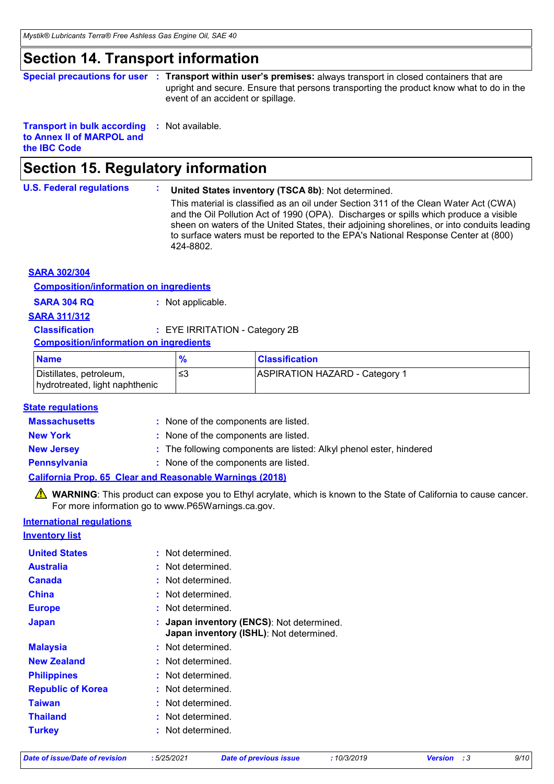### **Section 14. Transport information**

```
Special precautions for user : Transport within user's premises: always transport in closed containers that are
                     upright and secure. Ensure that persons transporting the product know what to do in the 
                     event of an accident or spillage.
```
**Transport in bulk according :** Not available. **to Annex II of MARPOL and the IBC Code**

# **Section 15. Regulatory information**

#### **U.S. Federal regulations : United States inventory (TSCA 8b)**: Not determined.

This material is classified as an oil under Section 311 of the Clean Water Act (CWA) and the Oil Pollution Act of 1990 (OPA). Discharges or spills which produce a visible sheen on waters of the United States, their adjoining shorelines, or into conduits leading to surface waters must be reported to the EPA's National Response Center at (800) 424-8802.

| <b>SARA 302/304</b>                           |                                |                       |
|-----------------------------------------------|--------------------------------|-----------------------|
| <b>Composition/information on ingredients</b> |                                |                       |
| <b>SARA 304 RQ</b>                            | : Not applicable.              |                       |
| <b>SARA 311/312</b>                           |                                |                       |
| <b>Classification</b>                         | : EYE IRRITATION - Category 2B |                       |
| <b>Composition/information on ingredients</b> |                                |                       |
| <b>Name</b>                                   | $\frac{9}{6}$                  | <b>Classification</b> |
|                                               |                                |                       |

| <b>Name</b>                                               | $\mathbf{0}$ | <b>Classification</b>                 |
|-----------------------------------------------------------|--------------|---------------------------------------|
| Distillates, petroleum,<br>hydrotreated, light naphthenic |              | <b>ASPIRATION HAZARD - Category 1</b> |
|                                                           |              |                                       |

#### **State regulations**

| <b>Massachusetts</b> | : None of the components are listed.                                |
|----------------------|---------------------------------------------------------------------|
| <b>New York</b>      | : None of the components are listed.                                |
| <b>New Jersey</b>    | : The following components are listed: Alkyl phenol ester, hindered |
| Pennsylvania         | : None of the components are listed.                                |
|                      | <b>California Prop. 65 Clear and Reasonable Warnings (2018)</b>     |

WARNING: This product can expose you to Ethyl acrylate, which is known to the State of California to cause cancer. For more information go to www.P65Warnings.ca.gov.

### **International regulations**

**Inventory list**

| <b>United States</b>     | Not determined.                                                                    |
|--------------------------|------------------------------------------------------------------------------------|
| <b>Australia</b>         | Not determined.                                                                    |
| <b>Canada</b>            | : Not determined.                                                                  |
| <b>China</b>             | : Not determined.                                                                  |
| <b>Europe</b>            | Not determined.                                                                    |
| <b>Japan</b>             | Japan inventory (ENCS): Not determined.<br>Japan inventory (ISHL): Not determined. |
| <b>Malaysia</b>          | : Not determined.                                                                  |
| <b>New Zealand</b>       | : Not determined.                                                                  |
| <b>Philippines</b>       | Not determined.                                                                    |
| <b>Republic of Korea</b> | : Not determined.                                                                  |
| <b>Taiwan</b>            | Not determined.                                                                    |
| <b>Thailand</b>          | Not determined.                                                                    |
| <b>Turkey</b>            | Not determined.                                                                    |
|                          |                                                                                    |

| Date of issue/Date of revision |  |
|--------------------------------|--|
|--------------------------------|--|